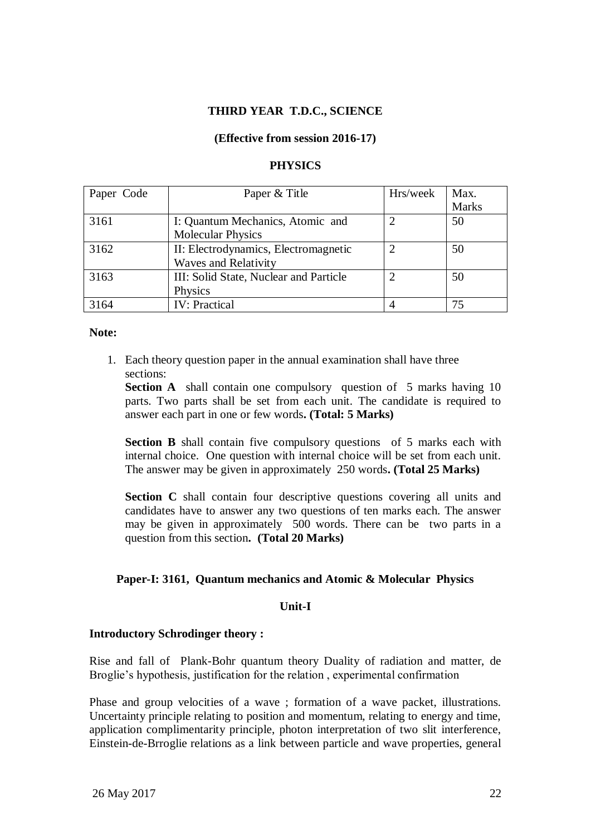## **THIRD YEAR T.D.C., SCIENCE**

#### **(Effective from session 2016-17)**

#### **PHYSICS**

| Paper Code | Paper & Title                          | Hrs/week       | Max.         |
|------------|----------------------------------------|----------------|--------------|
|            |                                        |                | <b>Marks</b> |
| 3161       | I: Quantum Mechanics, Atomic and       | $\overline{2}$ | 50           |
|            | <b>Molecular Physics</b>               |                |              |
| 3162       | II: Electrodynamics, Electromagnetic   | ◠              | 50           |
|            | <b>Waves and Relativity</b>            |                |              |
| 3163       | III: Solid State, Nuclear and Particle | ◠              | 50           |
|            | Physics                                |                |              |
| 3164       | <b>IV: Practical</b>                   | 4              | 75           |

## **Note:**

1. Each theory question paper in the annual examination shall have three sections:

**Section A** shall contain one compulsory question of 5 marks having 10 parts. Two parts shall be set from each unit. The candidate is required to answer each part in one or few words**. (Total: 5 Marks)**

**Section B** shall contain five compulsory questions of 5 marks each with internal choice. One question with internal choice will be set from each unit. The answer may be given in approximately 250 words**. (Total 25 Marks)**

**Section C** shall contain four descriptive questions covering all units and candidates have to answer any two questions of ten marks each. The answer may be given in approximately 500 words. There can be two parts in a question from this section**. (Total 20 Marks)**

#### **Paper-I: 3161, Quantum mechanics and Atomic & Molecular Physics**

#### **Unit-I**

#### **Introductory Schrodinger theory :**

Rise and fall of Plank-Bohr quantum theory Duality of radiation and matter, de Broglie's hypothesis, justification for the relation, experimental confirmation

Phase and group velocities of a wave ; formation of a wave packet, illustrations. Uncertainty principle relating to position and momentum, relating to energy and time, application complimentarity principle, photon interpretation of two slit interference, Einstein-de-Brroglie relations as a link between particle and wave properties, general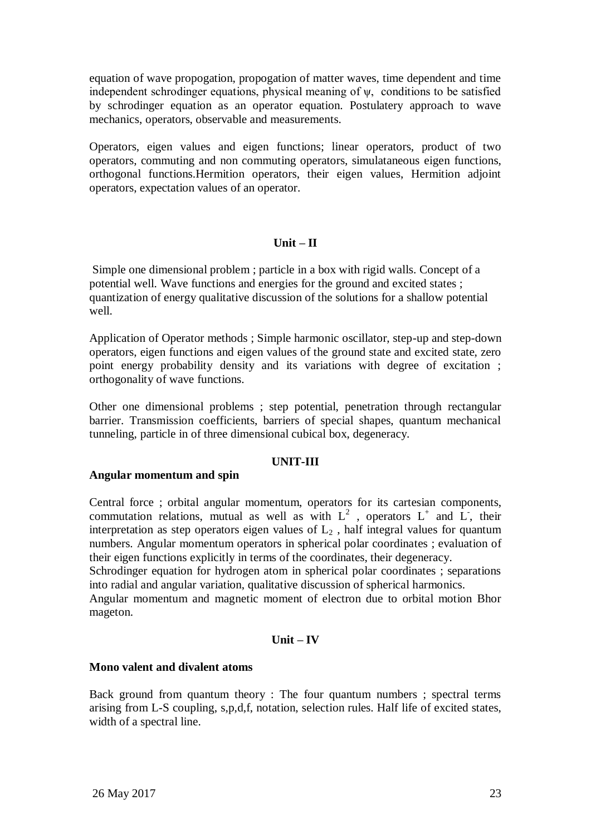equation of wave propogation, propogation of matter waves, time dependent and time independent schrodinger equations, physical meaning of  $\psi$ , conditions to be satisfied by schrodinger equation as an operator equation. Postulatery approach to wave mechanics, operators, observable and measurements.

Operators, eigen values and eigen functions; linear operators, product of two operators, commuting and non commuting operators, simulataneous eigen functions, orthogonal functions.Hermition operators, their eigen values, Hermition adjoint operators, expectation values of an operator.

## **Unit – II**

Simple one dimensional problem ; particle in a box with rigid walls. Concept of a potential well. Wave functions and energies for the ground and excited states ; quantization of energy qualitative discussion of the solutions for a shallow potential well.

Application of Operator methods ; Simple harmonic oscillator, step-up and step-down operators, eigen functions and eigen values of the ground state and excited state, zero point energy probability density and its variations with degree of excitation ; orthogonality of wave functions.

Other one dimensional problems ; step potential, penetration through rectangular barrier. Transmission coefficients, barriers of special shapes, quantum mechanical tunneling, particle in of three dimensional cubical box, degeneracy.

#### **UNIT-III**

## **Angular momentum and spin**

Central force ; orbital angular momentum, operators for its cartesian components, commutation relations, mutual as well as with  $L^2$ , operators  $L^+$  and  $\bar{L}$ , their interpretation as step operators eigen values of  $L<sub>2</sub>$ , half integral values for quantum numbers. Angular momentum operators in spherical polar coordinates ; evaluation of their eigen functions explicitly in terms of the coordinates, their degeneracy.

Schrodinger equation for hydrogen atom in spherical polar coordinates ; separations into radial and angular variation, qualitative discussion of spherical harmonics.

Angular momentum and magnetic moment of electron due to orbital motion Bhor mageton.

## **Unit – IV**

## **Mono valent and divalent atoms**

Back ground from quantum theory : The four quantum numbers ; spectral terms arising from L-S coupling, s,p,d,f, notation, selection rules. Half life of excited states, width of a spectral line.